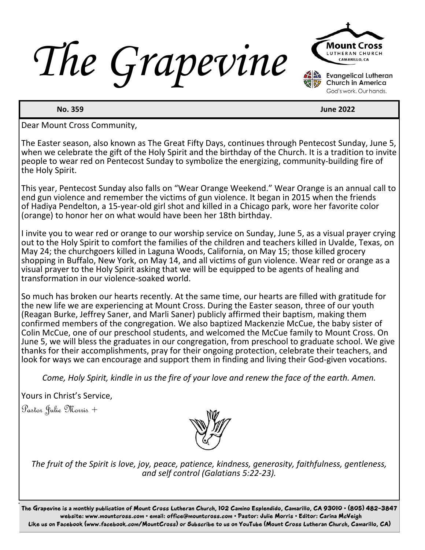*The Grapevine*



**No. 359** June 2022

Dear Mount Cross Community,

The Easter season, also known as The Great Fifty Days, continues through Pentecost Sunday, June 5, when we celebrate the gift of the Holy Spirit and the birthday of the Church. It is a tradition to invite people to wear red on Pentecost Sunday to symbolize the energizing, community-building fire of the Holy Spirit.

This year, Pentecost Sunday also falls on "Wear Orange Weekend." Wear Orange is an annual call to end gun violence and remember the victims of gun violence. It began in 2015 when the friends of Hadiya Pendelton, a 15-year-old girl shot and killed in a Chicago park, wore her favorite color (orange) to honor her on what would have been her 18th birthday.

I invite you to wear red or orange to our worship service on Sunday, June 5, as a visual prayer crying out to the Holy Spirit to comfort the families of the children and teachers killed in Uvalde, Texas, on May 24; the churchgoers killed in Laguna Woods, California, on May 15; those killed grocery shopping in Buffalo, New York, on May 14, and all victims of gun violence. Wear red or orange as a visual prayer to the Holy Spirit asking that we will be equipped to be agents of healing and transformation in our violence-soaked world.

So much has broken our hearts recently. At the same time, our hearts are filled with gratitude for the new life we are experiencing at Mount Cross. During the Easter season, three of our youth (Reagan Burke, Jeffrey Saner, and Marli Saner) publicly affirmed their baptism, making them confirmed members of the congregation. We also baptized Mackenzie McCue, the baby sister of Colin McCue, one of our preschool students, and welcomed the McCue family to Mount Cross. On June 5, we will bless the graduates in our congregation, from preschool to graduate school. We give thanks for their accomplishments, pray for their ongoing protection, celebrate their teachers, and look for ways we can encourage and support them in finding and living their God-given vocations.

*Come, Holy Spirit, kindle in us the fire of your love and renew the face of the earth. Amen.*

Yours in Christ's Service,

Pastor Julie Morris +



*The fruit of the Spirit is love, joy, peace, patience, kindness, generosity, faithfulness, gentleness, and self control (Galatians 5:22-23).*

The Grapevine is a monthly publication of Mount Cross Lutheran Church, 102 Camino Esplendido, Camarillo, CA 93010 • (805) 482-3847 website: www.mountcross.com • email: office@mountcross.com • Pastor: Julie Morris • Editor: Carina McVeigh Like us on Facebook (www.facebook.com/MountCross) or Subscribe to us on YouTube (Mount Cross Lutheran Church, Camarillo, CA)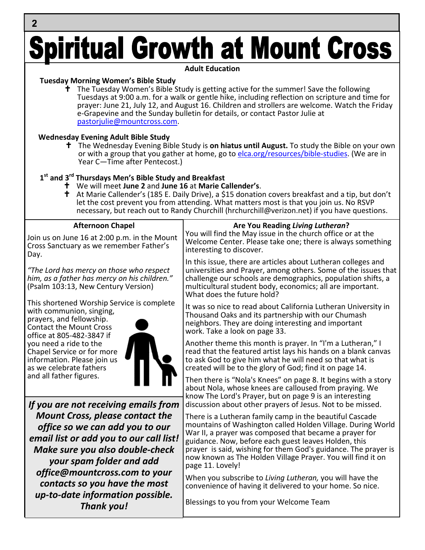## **Spiritual Growth at Mount Cross**

**Adult Education**

#### **Tuesday Morning Women's Bible Study**

 $\overline{2}$ 

 The Tuesday Women's Bible Study is getting active for the summer! Save the following Tuesdays at 9:00 a.m. for a walk or gentle hike, including reflection on scripture and time for prayer: June 21, July 12, and August 16. Children and strollers are welcome. Watch the Friday e-Grapevine and the Sunday bulletin for details, or contact Pastor Julie at pastorjulie@mountcross.com.

#### **Wednesday Evening Adult Bible Study**

 The Wednesday Evening Bible Study is **on hiatus until August.** To study the Bible on your own or with a group that you gather at home, go to elca.org/resources/bible-studies. (We are in Year C—Time after Pentecost.)

#### **1 st and 3rd Thursdays Men's Bible Study and Breakfast**

- We will meet **June 2** and **June 16** at **Marie Callender's**.
- <sup>†</sup> At Marie Callender's (185 E. Daily Drive), a \$15 donation covers breakfast and a tip, but don't let the cost prevent you from attending. What matters most is that you join us. No RSVP necessary, but reach out to Randy Churchill (hrchurchill@verizon.net) if you have questions.

| Are You Reading Living Lutheran?<br>You will find the May issue in the church office or at the                                                                                                                                                                                                                                                                             |
|----------------------------------------------------------------------------------------------------------------------------------------------------------------------------------------------------------------------------------------------------------------------------------------------------------------------------------------------------------------------------|
| Welcome Center. Please take one; there is always something                                                                                                                                                                                                                                                                                                                 |
| In this issue, there are articles about Lutheran colleges and<br>universities and Prayer, among others. Some of the issues that<br>challenge our schools are demographics, population shifts, a<br>multicultural student body, economics; all are important.                                                                                                               |
| It was so nice to read about California Lutheran University in<br>Thousand Oaks and its partnership with our Chumash<br>neighbors. They are doing interesting and important                                                                                                                                                                                                |
| Another theme this month is prayer. In "I'm a Lutheran," I<br>read that the featured artist lays his hands on a blank canvas<br>to ask God to give him what he will need so that what is<br>created will be to the glory of God; find it on page 14.                                                                                                                       |
| Then there is "Nola's Knees" on page 8. It begins with a story<br>about Nola, whose knees are calloused from praying. We<br>know The Lord's Prayer, but on page 9 is an interesting<br>discussion about other prayers of Jesus. Not to be missed.                                                                                                                          |
| There is a Lutheran family camp in the beautiful Cascade<br>mountains of Washington called Holden Village. During World<br>War II, a prayer was composed that became a prayer for<br>guidance. Now, before each guest leaves Holden, this<br>prayer is said, wishing for them God's guidance. The prayer is<br>now known as The Holden Village Prayer. You will find it on |
| When you subscribe to Living Lutheran, you will have the<br>convenience of having it delivered to your home. So nice.                                                                                                                                                                                                                                                      |
|                                                                                                                                                                                                                                                                                                                                                                            |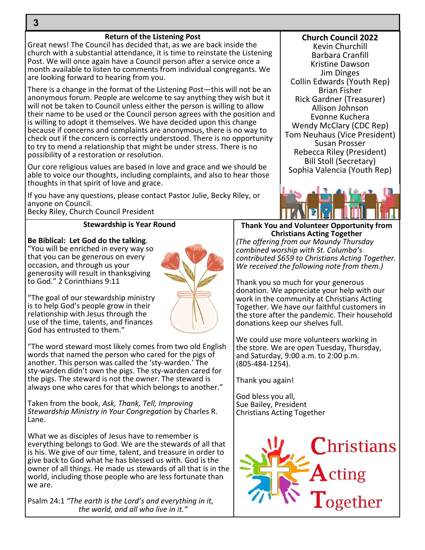#### **Return of the Listening Post**

Great news! The Council has decided that, as we are back inside the church with a substantial attendance, it is time to reinstate the Listening Post. We will once again have a Council person after a service once a month available to listen to comments from individual congregants. We are looking forward to hearing from you.

There is a change in the format of the Listening Post—this will not be an anonymous forum. People are welcome to say anything they wish but it will not be taken to Council unless either the person is willing to allow their name to be used or the Council person agrees with the position and is willing to adopt it themselves. We have decided upon this change because if concerns and complaints are anonymous, there is no way to check out if the concern is correctly understood. There is no opportunity to try to mend a relationship that might be under stress. There is no possibility of a restoration or resolution.

Our core religious values are based in love and grace and we should be able to voice our thoughts, including complaints, and also to hear those thoughts in that spirit of love and grace.

If you have any questions, please contact Pastor Julie, Becky Riley, or anyone on Council.

Becky Riley, Church Council President

#### **Stewardship is Year Round**

#### **Be Biblical: Let God do the talking**.

"You will be enriched in every way so that you can be generous on every occasion, and through us your generosity will result in thanksgiving to God." 2 Corinthians 9:11

"The goal of our stewardship ministry is to help God's people grow in their relationship with Jesus through the use of the time, talents, and finances God has entrusted to them."

"The word steward most likely comes from two old English words that named the person who cared for the pigs of another. This person was called the 'sty-warden.' The sty-warden didn't own the pigs. The sty-warden cared for the pigs. The steward is not the owner. The steward is always one who cares for that which belongs to another."

Taken from the book, *Ask, Thank, Tell, Improving Stewardship Ministry in Your Congregation* by Charles R. Lane.

What we as disciples of Jesus have to remember is everything belongs to God. We are the stewards of all that is his. We give of our time, talent, and treasure in order to give back to God what he has blessed us with. God is the owner of all things. He made us stewards of all that is in the world, including those people who are less fortunate than we are.

Psalm 24:1 *"The earth is the Lord's and everything in it, the world, and all who live in it."*

**Church Council 2022** Kevin Churchill Barbara Cranfill Kristine Dawson Jim Dinges Collin Edwards (Youth Rep) Brian Fisher Rick Gardner (Treasurer) Allison Johnson Evonne Kuchera Wendy McClary (CDC Rep) Tom Neuhaus (Vice President) Susan Prosser Rebecca Riley (President) Bill Stoll (Secretary) Sophia Valencia (Youth Rep)



**Thank You and Volunteer Opportunity from Christians Acting Together** *(The offering from our Maundy Thursday combined worship with St. Columba's contributed \$659 to Christians Acting Together. We received the following note from them.)*

Thank you so much for your generous donation. We appreciate your help with our work in the community at Christians Acting Together. We have our faithful customers in the store after the pandemic. Their household donations keep our shelves full.

We could use more volunteers working in the store. We are open Tuesday, Thursday, and Saturday, 9:00 a.m. to 2:00 p.m. (805-484-1254).

Thank you again!

God bless you all, Sue Bailey, President Christians Acting Together



3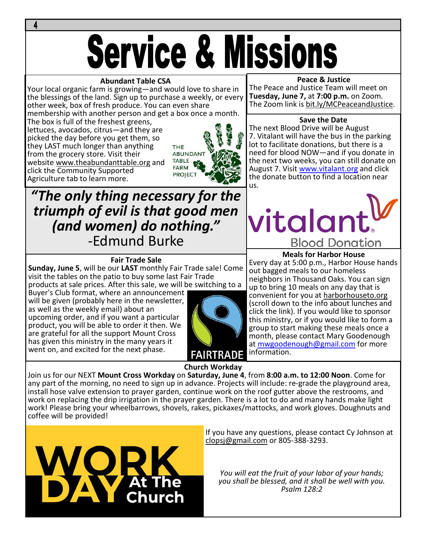# **Service & Missions**

#### **Abundant Table CSA**

Your local organic farm is growing—and would love to share in the blessings of the land. Sign up to purchase a weekly, or every other week, box of fresh produce. You can even share membership with another person and get a box once a month.

The box is full of the freshest greens, lettuces, avocados, citrus—and they are picked the day before you get them, so they LAST much longer than anything from the grocery store. Visit their website www.theabundanttable.org and click the Community Supported Agriculture tab to learn more.



#### **Peace & Justice**

The Peace and Justice Team will meet on **Tuesday, June 7,** at **7:00 p.m.** on Zoom. The Zoom link is bit.ly/MCPeaceandJustice.

#### **Save the Date**

The next Blood Drive will be August 7. Vitalant will have the bus in the parking lot to facilitate donations, but there is a need for blood NOW—and if you donate in the next two weeks, you can still donate on August 7. Visit www.vitalant.org and click the donate button to find a location near us.

**Meals for Harbor House** Every day at 5:00 p.m., Harbor House hands

**Blood Donation** 

neighbors in Thousand Oaks. You can sign up to bring 10 meals on any day that is convenient for you at harborhouseto.org (scroll down to the info about lunches and click the link). If you would like to sponsor this ministry, or if you would like to form a group to start making these meals once a month, please contact Mary Goodenough at mwgoodenough@gmail.com for more

out bagged meals to our homeless

vitalant

### *"The only thing necessary for the triumph of evil is that good men (and women) do nothing." -*Edmund Burke

#### **Fair Trade Sale**

**Sunday, June 5**, will be our **LAST** monthly Fair Trade sale! Come visit the tables on the patio to buy some last Fair Trade products at sale prices. After this sale, we will be switching to a

Buyer's Club format, where an announcement will be given (probably here in the newsletter, as well as the weekly email) about an upcoming order, and if you want a particular product, you will be able to order it then. We are grateful for all the support Mount Cross has given this ministry in the many years it went on, and excited for the next phase.



**Church Workday**

Join us for our NEXT **Mount Cross Workday** on **Saturday, June 4**, from **8:00 a.m. to 12:00 Noon**. Come for any part of the morning, no need to sign up in advance. Projects will include: re-grade the playground area, install hose valve extension to prayer garden, continue work on the roof gutter above the restrooms, and work on replacing the drip irrigation in the prayer garden. There is a lot to do and many hands make light work! Please bring your wheelbarrows, shovels, rakes, pickaxes/mattocks, and work gloves. Doughnuts and coffee will be provided!



If you have any questions, please contact Cy Johnson at clopsj@gmail.com or 805-388-3293.

information.

*You will eat the fruit of your labor of your hands; you shall be blessed, and it shall be well with you. Psalm 128:2*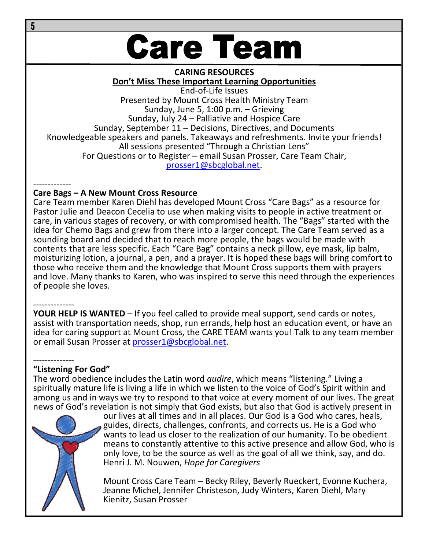## **Care Team**

#### **CARING RESOURCES Don't Miss These Important Learning Opportunities**

End-of-Life Issues Presented by Mount Cross Health Ministry Team Sunday, June 5, 1:00 p.m. – Grieving Sunday, July 24 – Palliative and Hospice Care Sunday, September 11 – Decisions, Directives, and Documents Knowledgeable speakers and panels. Takeaways and refreshments. Invite your friends! All sessions presented "Through a Christian Lens" For Questions or to Register – email Susan Prosser, Care Team Chair, prosser1@sbcglobal.net.

-------------

#### **Care Bags – A New Mount Cross Resource**

Care Team member Karen Diehl has developed Mount Cross "Care Bags" as a resource for Pastor Julie and Deacon Cecelia to use when making visits to people in active treatment or care, in various stages of recovery, or with compromised health. The "Bags" started with the idea for Chemo Bags and grew from there into a larger concept. The Care Team served as a sounding board and decided that to reach more people, the bags would be made with contents that are less specific. Each "Care Bag" contains a neck pillow, eye mask, lip balm, moisturizing lotion, a journal, a pen, and a prayer. It is hoped these bags will bring comfort to those who receive them and the knowledge that Mount Cross supports them with prayers and love. Many thanks to Karen, who was inspired to serve this need through the experiences of people she loves.

-------------- **YOUR HELP IS WANTED** – If you feel called to provide meal support, send cards or notes, assist with transportation needs, shop, run errands, help host an education event, or have an idea for caring support at Mount Cross, the CARE TEAM wants you! Talk to any team member or email Susan Prosser at prosser1@sbcglobal.net.

#### -------------- **"Listening For God"**

The word obedience includes the Latin word *audire*, which means "listening." Living a spiritually mature life is living a life in which we listen to the voice of God's Spirit within and among us and in ways we try to respond to that voice at every moment of our lives. The great news of God's revelation is not simply that God exists, but also that God is actively present in

> our lives at all times and in all places. Our God is a God who cares, heals, guides, directs, challenges, confronts, and corrects us. He is a God who wants to lead us closer to the realization of our humanity. To be obedient means to constantly attentive to this active presence and allow God, who is only love, to be the source as well as the goal of all we think, say, and do. Henri J. M. Nouwen, *Hope for Caregivers*

Mount Cross Care Team – Becky Riley, Beverly Rueckert, Evonne Kuchera, Jeanne Michel, Jennifer Christeson, Judy Winters, Karen Diehl, Mary Kienitz, Susan Prosser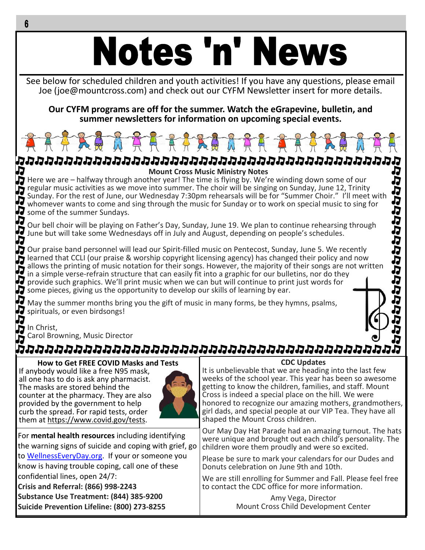# Notes 'n' News

See below for scheduled children and youth activities! If you have any questions, please email Joe (joe@mountcross.com) and check out our CYFM Newsletter insert for more details.

**Our CYFM programs are off for the summer. Watch the eGrapevine, bulletin, and summer newsletters for information on upcoming special events.**



**Mount Cross Music Ministry Notes** Here we are – halfway through another year! The time is flying by. We're winding down some of our regular music activities as we move into summer. The choir will be singing on Sunday, June 12, Trinity Sunday. For the rest of June, our Wednesday 7:30pm rehearsals will be for "Summer Choir." I'll meet with whomever wants to come and sing through the music for Sunday or to work on special music to sing for **J** some of the summer Sundays.

Our bell choir will be playing on Father's Day, Sunday, June 19. We plan to continue rehearsing through June but will take some Wednesdays off in July and August, depending on people's schedules.

Our praise band personnel will lead our Spirit-filled music on Pentecost, Sunday, June 5. We recently **in** learned that CCLI (our praise & worship copyright licensing agency) has changed their policy and now allows the printing of music notation for their songs. However, the majority of their songs are not written in a simple verse-refrain structure that can easily fit into a graphic for our bulletins, nor do they provide such graphics. We'll print music when we can but will continue to print just words for some pieces, giving us the opportunity to develop our skills of learning by ear.

Ŋ May the summer months bring you the gift of music in many forms, be they hymns, psalms, spirituals, or even birdsongs!



П

ひひひひひりりりかん

h<br>D

In Christ, Carol Browning, Music Director

### ממממממממממממממממממממממממממממממממ

**How to Get FREE COVID Masks and Tests** If anybody would like a free N95 mask, all one has to do is ask any pharmacist. The masks are stored behind the counter at the pharmacy. They are also provided by the government to help curb the spread. For rapid tests, order them at https://www.covid.gov/tests.



For **mental health resources** including identifying the warning signs of suicide and coping with grief, go to WellnessEveryDay.org. If your or someone you know is having trouble coping, call one of these confidential lines, open 24/7: **Crisis and Referral: (866) 998-2243 Substance Use Treatment: (844) 385-9200 Suicide Prevention Lifeline: (800) 273-8255**

#### **CDC Updates**

It is unbelievable that we are heading into the last few weeks of the school year. This year has been so awesome getting to know the children, families, and staff. Mount Cross is indeed a special place on the hill. We were honored to recognize our amazing mothers, grandmothers, girl dads, and special people at our VIP Tea. They have all shaped the Mount Cross children.

Our May Day Hat Parade had an amazing turnout. The hats were unique and brought out each child's personality. The children wore them proudly and were so excited.

Please be sure to mark your calendars for our Dudes and Donuts celebration on June 9th and 10th.

We are still enrolling for Summer and Fall. Please feel free to contact the CDC office for more information.

> Amy Vega, Director Mount Cross Child Development Center

6

Л

F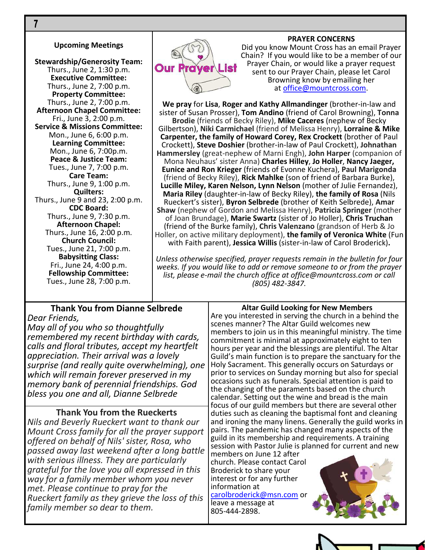#### **Upcoming Meetings**

**Stewardship/Generosity Team:** Thurs., June 2, 1:30 p.m. **Executive Committee:** Thurs., June 2, 7:00 p.m. **Property Committee:** Thurs., June 2, 7:00 p.m. **Afternoon Chapel Committee:** Fri., June 3, 2:00 p.m. **Service & Missions Committee:** Mon., June 6, 6:00 p.m. **Learning Committee:** Mon., June 6, 7:00p.m. **Peace & Justice Team:** Tues., June 7, 7:00 p.m. **Care Team:** Thurs., June 9, 1:00 p.m. **Quilters:** Thurs., June 9 and 23, 2:00 p.m. **CDC Board:** Thurs., June 9, 7:30 p.m. **Afternoon Chapel:** Thurs., June 16, 2:00 p.m. **Church Council:** Tues., June 21, 7:00 p.m. **Babysitting Class:** Fri., June 24, 4:00 p.m. **Fellowship Committee:** Tues., June 28, 7:00 p.m.



#### **PRAYER CONCERNS**

Did you know Mount Cross has an email Prayer Chain? If you would like to be a member of our Prayer Chain, or would like a prayer request sent to our Prayer Chain, please let Carol Browning know by emailing her at office@mountcross.com.

**We pray** for **Lisa**, **Roger and Kathy Allmandinger** (brother-in-law and sister of Susan Prosser), **Tom Andino** (friend of Carol Browning), **Tonna Brodie** (friends of Becky Riley), **Mike Caceres** (nephew of Becky Gilbertson), **Niki Carmichael** (friend of Melissa Henry), **Lorraine & Mike Carpenter, the family of Howard Corey, Rex Crockett** (brother of Paul Crockett), **Steve Doshier** (brother-in-law of Paul Crockett), **Johnathan Hammersley** (great-nephew of Marni Engh), **John Harper** (companion of Mona Neuhaus' sister Anna) **Charles Hilley**, **Jo Holler**, **Nancy Jaeger, Eunice and Ron Krieger** (friends of Evonne Kuchera), **Paul Marigonda** (friend of Becky Riley), **Rick Mahlke** (son of friend of Barbara Burke), **Lucille Miley, Karen Nelson, Lynn Nelson** (mother of Julie Fernandez), **Maria Riley** (daughter-in-law of Becky Riley), **the family of Rosa** (Nils Rueckert's sister), **Byron Selbrede** (brother of Keith Selbrede), **Amar Shaw** (nephew of Gordon and Melissa Henry), **Patricia Springer** (mother of Joan Brundage), **Marie Swartz** (sister of Jo Holler), **Chris Truchan** (friend of the Burke family), **Chris Valenzano** (grandson of Herb & Jo Holler, on active military deployment), **the family of Veronica White** (Fun with Faith parent), **Jessica Willis** (sister-in-law of Carol Broderick)**.**

*Unless otherwise specified, prayer requests remain in the bulletin for four weeks. If you would like to add or remove someone to or from the prayer list, please e-mail the church office at office@mountcross.com or call (805) 482-3847.*

#### **Thank You from Dianne Selbrede** *Dear Friends,*

*May all of you who so thoughtfully remembered my recent birthday with cards, calls and floral tributes, accept my heartfelt appreciation. Their arrival was a lovely surprise (and really quite overwhelming), one which will remain forever preserved in my memory bank of perennial friendships. God bless you one and all, Dianne Selbrede*

#### **Thank You from the Rueckerts**

*Nils and Beverly Rueckert want to thank our Mount Cross family for all the prayer support offered on behalf of Nils' sister, Rosa, who passed away last weekend after a long battle with serious illness. They are particularly grateful for the love you all expressed in this way for a family member whom you never met. Please continue to pray for the Rueckert family as they grieve the loss of this family member so dear to them.*

**Altar Guild Looking for New Members** Are you interested in serving the church in a behind the

scenes manner? The Altar Guild welcomes new members to join us in this meaningful ministry. The time commitment is minimal at approximately eight to ten hours per year and the blessings are plentiful. The Altar Guild's main function is to prepare the sanctuary for the Holy Sacrament. This generally occurs on Saturdays or prior to services on Sunday morning but also for special occasions such as funerals. Special attention is paid to the changing of the paraments based on the church calendar. Setting out the wine and bread is the main focus of our guild members but there are several other duties such as cleaning the baptismal font and cleaning and ironing the many linens. Generally the guild works in pairs. The pandemic has changed many aspects of the guild in its membership and requirements. A training session with Pastor Julie is planned for current and new

members on June 12 after church. Please contact Carol Broderick to share your interest or for any further information at carolbroderick@msn.com or leave a message at 805-444-2898.





 $\overline{7}$